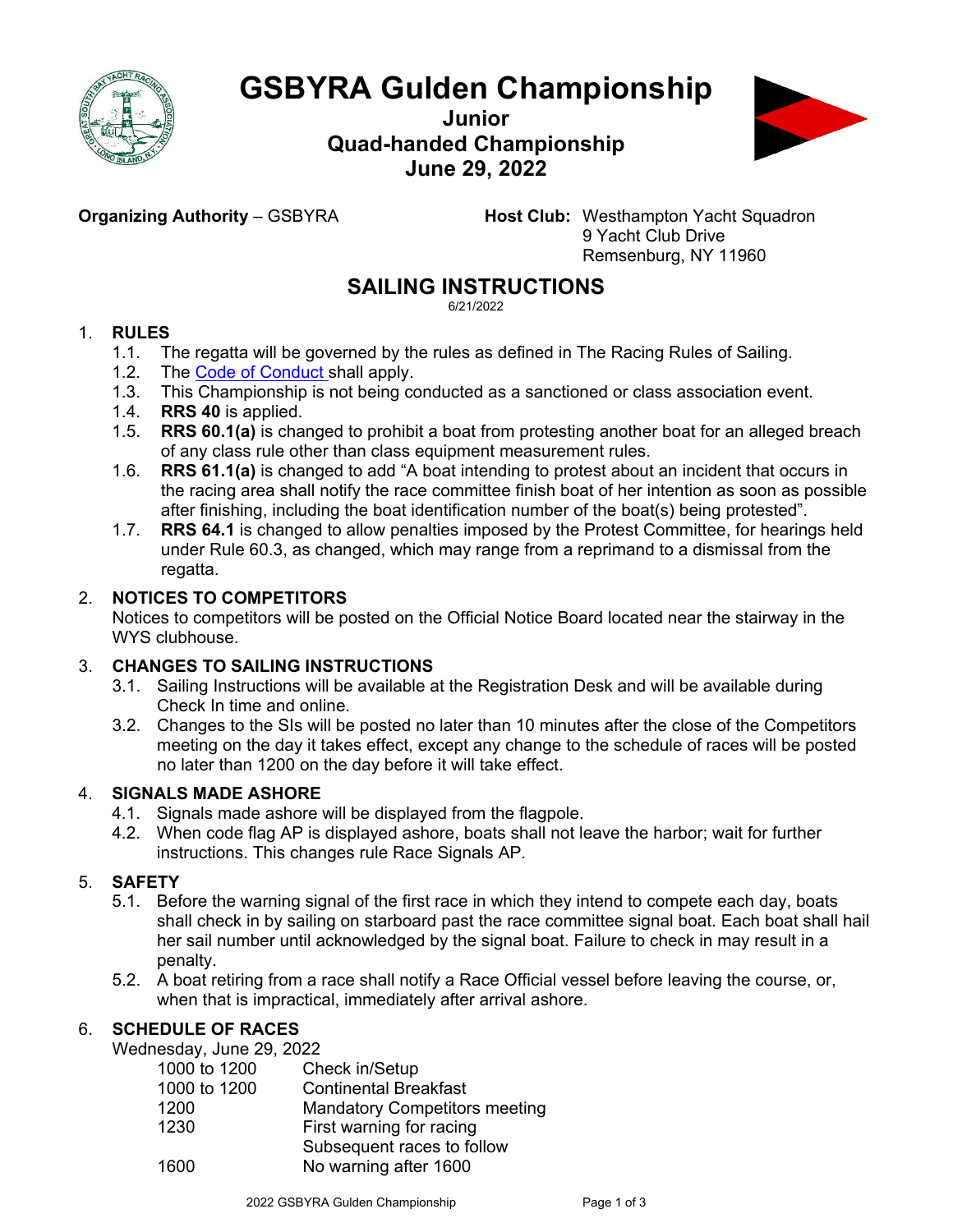

# **GSBYRA Gulden Championship**

**Junior Quad-handed Championship June 29, 2022**



**Organizing Authority** – GSBYRA **Host Club:** Westhampton Yacht Squadron 9 Yacht Club Drive Remsenburg, NY 11960

## **SAILING INSTRUCTIONS**

6/21/2022

#### 1. **RULES**

- 1.1. The regatta will be governed by the rules as defined in The Racing Rules of Sailing.
- 1.2. The Code of [Conduct](https://www.ussailing.org/wp-content/uploads/2018/01/FinalChampionships_CodeofConduct3-21-17.pdf) shall apply.
- 1.3. This Championship is not being conducted as a sanctioned or class association event.
- 1.4. **RRS 40** is applied.
- 1.5. **RRS 60.1(a)** is changed to prohibit a boat from protesting another boat for an alleged breach of any class rule other than class equipment measurement rules.
- 1.6. **RRS 61.1(a)** is changed to add "A boat intending to protest about an incident that occurs in the racing area shall notify the race committee finish boat of her intention as soon as possible after finishing, including the boat identification number of the boat(s) being protested".
- 1.7. **RRS 64.1** is changed to allow penalties imposed by the Protest Committee, for hearings held under Rule 60.3, as changed, which may range from a reprimand to a dismissal from the regatta.

#### 2. **NOTICES TO COMPETITORS**

Notices to competitors will be posted on the Official Notice Board located near the stairway in the WYS clubhouse.

#### 3. **CHANGES TO SAILING INSTRUCTIONS**

- 3.1. Sailing Instructions will be available at the Registration Desk and will be available during Check In time and online.
- 3.2. Changes to the SIs will be posted no later than 10 minutes after the close of the Competitors meeting on the day it takes effect, except any change to the schedule of races will be posted no later than 1200 on the day before it will take effect.

#### 4. **SIGNALS MADE ASHORE**

- 4.1. Signals made ashore will be displayed from the flagpole.
- 4.2. When code flag AP is displayed ashore, boats shall not leave the harbor; wait for further instructions. This changes rule Race Signals AP.

#### 5. **SAFETY**

- 5.1. Before the warning signal of the first race in which they intend to compete each day, boats shall check in by sailing on starboard past the race committee signal boat. Each boat shall hail her sail number until acknowledged by the signal boat. Failure to check in may result in a penalty.
- 5.2. A boat retiring from a race shall notify a Race Official vessel before leaving the course, or, when that is impractical, immediately after arrival ashore.

### 6. **SCHEDULE OF RACES**

Wednesday, June 29, 2022

| <b>Mandatory Competitors meeting</b> |
|--------------------------------------|
|                                      |
| Subsequent races to follow           |
|                                      |
|                                      |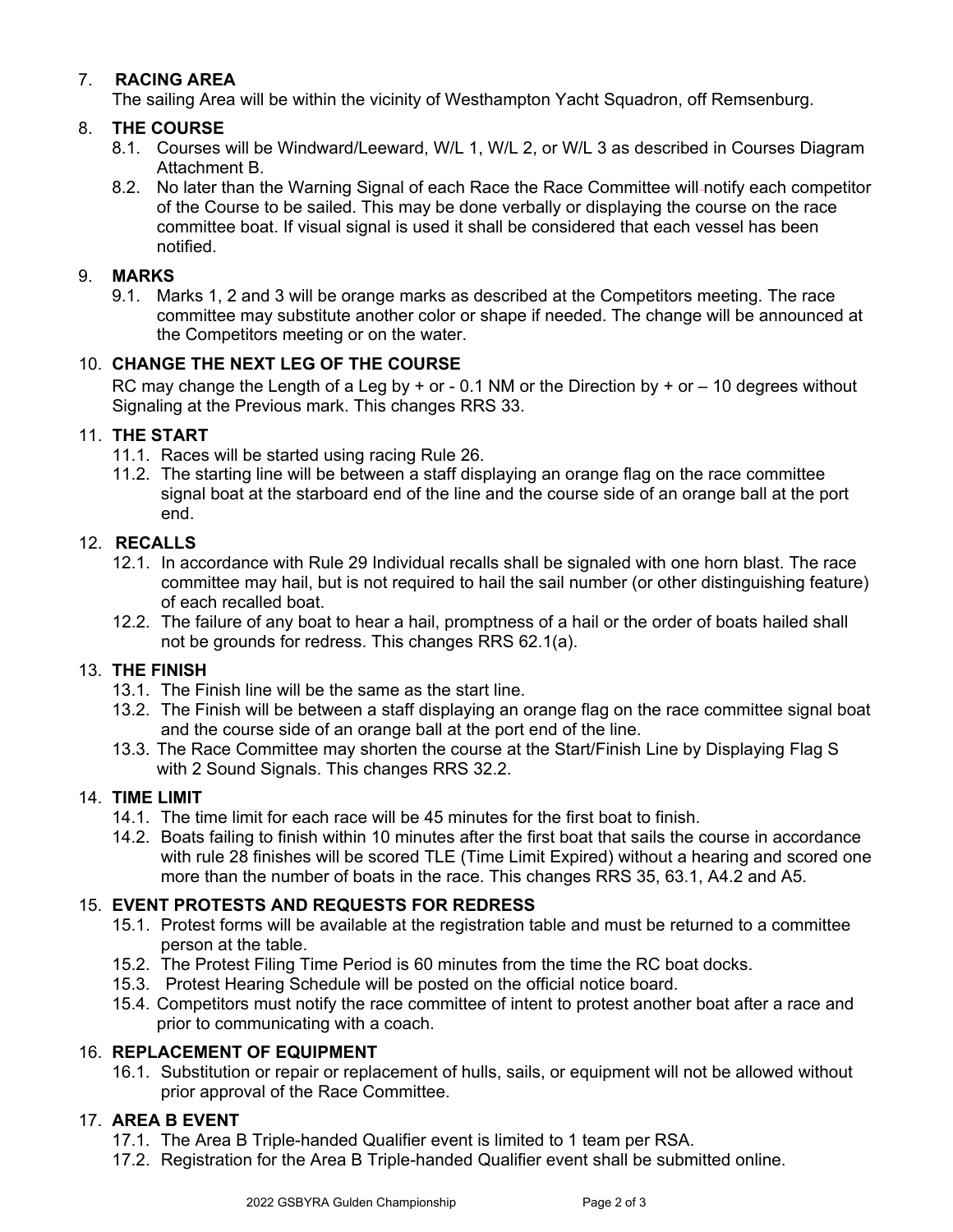#### 7. **RACING AREA**

The sailing Area will be within the vicinity of Westhampton Yacht Squadron, off Remsenburg.

#### 8. **THE COURSE**

- 8.1. Courses will be Windward/Leeward, W/L 1, W/L 2, or W/L 3 as described in Courses Diagram Attachment B.
- 8.2. No later than the Warning Signal of each Race the Race Committee will notify each competitor of the Course to be sailed. This may be done verbally or displaying the course on the race committee boat. If visual signal is used it shall be considered that each vessel has been notified.

#### 9. **MARKS**

9.1. Marks 1, 2 and 3 will be orange marks as described at the Competitors meeting. The race committee may substitute another color or shape if needed. The change will be announced at the Competitors meeting or on the water.

#### 10. **CHANGE THE NEXT LEG OF THE COURSE**

RC may change the Length of a Leg by  $+$  or - 0.1 NM or the Direction by  $+$  or  $-$  10 degrees without Signaling at the Previous mark. This changes RRS 33.

#### 11. **THE START**

- 11.1. Races will be started using racing Rule 26.
- 11.2. The starting line will be between a staff displaying an orange flag on the race committee signal boat at the starboard end of the line and the course side of an orange ball at the port end.

#### 12. **RECALLS**

- 12.1. In accordance with Rule 29 Individual recalls shall be signaled with one horn blast. The race committee may hail, but is not required to hail the sail number (or other distinguishing feature) of each recalled boat.
- 12.2. The failure of any boat to hear a hail, promptness of a hail or the order of boats hailed shall not be grounds for redress. This changes RRS 62.1(a).

#### 13. **THE FINISH**

- 13.1. The Finish line will be the same as the start line.
- 13.2. The Finish will be between a staff displaying an orange flag on the race committee signal boat and the course side of an orange ball at the port end of the line.
- 13.3. The Race Committee may shorten the course at the Start/Finish Line by Displaying Flag S with 2 Sound Signals. This changes RRS 32.2.

#### 14. **TIME LIMIT**

- 14.1. The time limit for each race will be 45 minutes for the first boat to finish.
- 14.2. Boats failing to finish within 10 minutes after the first boat that sails the course in accordance with rule 28 finishes will be scored TLE (Time Limit Expired) without a hearing and scored one more than the number of boats in the race. This changes RRS 35, 63.1, A4.2 and A5.

#### 15. **EVENT PROTESTS AND REQUESTS FOR REDRESS**

- 15.1. Protest forms will be available at the registration table and must be returned to a committee person at the table.
- 15.2. The Protest Filing Time Period is 60 minutes from the time the RC boat docks.
- 15.3. Protest Hearing Schedule will be posted on the official notice board.
- 15.4. Competitors must notify the race committee of intent to protest another boat after a race and prior to communicating with a coach.

#### 16. **REPLACEMENT OF EQUIPMENT**

16.1. Substitution or repair or replacement of hulls, sails, or equipment will not be allowed without prior approval of the Race Committee.

#### 17. **AREA B EVENT**

- 17.1. The Area B Triple-handed Qualifier event is limited to 1 team per RSA.
- 17.2. Registration for the Area B Triple-handed Qualifier event shall be submitted online.